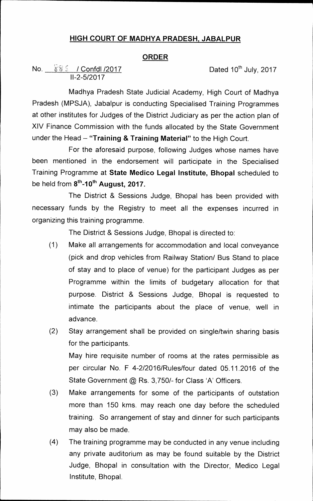## **HIGH COURT OF MADHYA PRADESH, JABALPUR**

## **ORDER**

**No.**  $\frac{8.8}{6.2}$  / Confdl /2017 **Dated 10<sup>th</sup> July, 2017 11-2-5/2017** 

**Madhya Pradesh State Judicial Academy, High Court of Madhya Pradesh (MPSJA), Jabalpur is conducting Specialised Training Programmes at other institutes for Judges of the District Judiciary as per the action plan of XIV Finance Commission with the funds allocated by the State Government under the Head — "Training & Training Material" to the High Court.** 

**For the aforesaid purpose, following Judges whose names have been mentioned in the endorsement will participate in the Specialised Training Programme at State Medico Legal Institute, Bhopal scheduled to**  be held from 8<sup>th</sup>-10<sup>th</sup> August, 2017.

**The District & Sessions Judge, Bhopal has been provided with necessary funds by the Registry to meet all the expenses incurred in organizing this training programme.** 

**The District & Sessions Judge, Bhopal is directed to:** 

- **(1) Make all arrangements for accommodation and local conveyance (pick and drop vehicles from Railway Station/ Bus Stand to place of stay and to place of venue) for the participant Judges as per Programme within the limits of budgetary allocation for that purpose. District & Sessions Judge, Bhopal is requested to intimate the participants about the place of venue, well in advance.**
- **(2) Stay arrangement shall be provided on single/twin sharing basis for the participants. May hire requisite number of rooms at the rates permissible as per circular No. F 4-2/2016/Rules/four dated 05.11.2016 of the**

**State Government @ Rs. 3,750/- for Class 'A' Officers.** 

- **(3) Make arrangements for some of the participants of outstation more than 150 kms. may reach one day before the scheduled training. So arrangement of stay and dinner for such participants may also be made.**
- **(4) The training programme may be conducted in any venue including any private auditorium as may be found suitable by the District Judge, Bhopal in consultation with the Director, Medico Legal Institute, Bhopal.**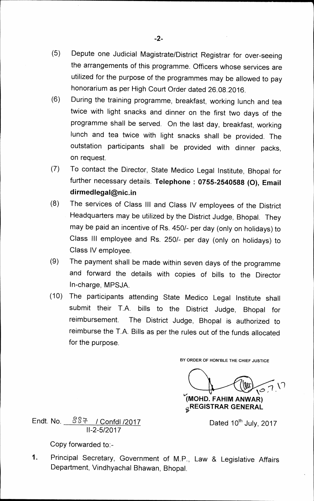- **(5) Depute one Judicial Magistrate/District Registrar for over-seeing the arrangements of this programme. Officers whose services are utilized for the purpose of the programmes may be allowed to pay honorarium as per High Court Order dated 26.08.2016.**
- **(6) During the training programme, breakfast, working lunch and tea twice with light snacks and dinner on the first two days of the programme shall be served. On the last day, breakfast, working lunch and tea twice with light snacks shall be provided. The outstation participants shall be provided with dinner packs, on request.**
- **(7) To contact the Director, State Medico Legal Institute, Bhopal for further necessary details. Telephone : 0755-2540588 (0), Email dirmedlegal@nic.in**
- **(8) The services of Class III and Class IV employees of the District Headquarters may be utilized by the District Judge, Bhopal. They may be paid an incentive of Rs. 450/- per day (only on holidays) to Class III employee and Rs. 250/- per day (only on holidays) to Class IV employee.**
- **(9) The payment shall be made within seven days of the programme and forward the details with copies of bills to the Director In-charge, MPSJA.**
- **(10) The participants attending State Medico Legal Institute shall submit their T.A. bills to the District Judge, Bhopal for reimbursement. The District Judge, Bhopal is authorized to reimburse the T.A. Bills as per the rules out of the funds allocated for the purpose.**

**BY ORDER OF HON'BLE THE CHIEF JUSTICE** 

 $\left( 0.7\right)$ 

**1MOHD. FAHIM ANWAR) REGISTRAR GENERAL** 

Endt. No.  $887 /$  Confdl /2017 **11-2-5/2017** 

Dated 10<sup>th</sup> July, 2017

**Copy forwarded to:-** 

**1. Principal Secretary, Government of M.P., Law & Legislative Affairs Department, Vindhyachal Bhawan, Bhopal.**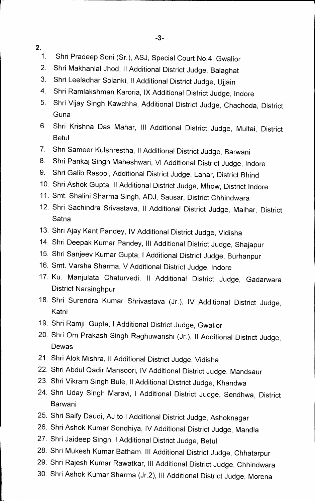Ann"

**2.** 

- **1. Shri Pradeep Soni (Sr.), ASJ, Special Court No.4, Gwalior**
- **2. Shri Makhanlal Jhod, II Additional District Judge, Balaghat**
- **3. Shri Leeladhar Solanki, II Additional District Judge, Ujjain**
- **4.** Shri Ramlakshman Karoria, IX Additional District Judge, Indore
- **5. Shri Vijay Singh Kawchha, Additional District Judge, Chachoda, District Guna**
- **6. Shri Krishna Das Mahar, Ill Additional District Judge, Multai, District Betul**
- **7. Shri Sameer Kulshrestha, II Additional District Judge, Barwani**
- **8. Shri Pankaj Singh Maheshwari, VI Additional District Judge, Indore**
- **9. Shri Galib Rasool, Additional District Judge, Lahar, District Bhind**
- **10. Shri Ashok Gupta, II Additional District Judge, Mhow, District Indore**
- **11. Smt. Shalini Sharma Singh, ADJ, Sausar, District Chhindwara**
- **12. Shri Sachindra Srivastava, II Additional District Judge, Maihar, District Satna**
- **13. Shri Ajay Kant Pandey, IV Additional District Judge, Vidisha**
- **14. Shri Deepak Kumar Pandey, III Additional District Judge, Shajapur**
- **15. Shri Sanjeev Kumar Gupta, I Additional District Judge, Burhanpur**
- **16. Smt. Varsha Sharma, V Additional District Judge, Indore**
- **17. Ku. Manjulata Chaturvedi, II Additional District Judge, Gadarwara District Narsinghpur**
- **18. Shri Surendra Kumar Shrivastava (Jr.), IV Additional District Judge, Katni**
- **19. Shri Ramji Gupta, I Additional District Judge, Gwalior**
- **20. Shri Om Prakash Singh Raghuwanshi (Jr.), II Additional District Judge, Dewas**
- **21. Shri Alok Mishra, II Additional District Judge, Vidisha**
- **22. Shri Abdul Qadir Mansoori, IV Additional District Judge, Mandsaur**
- **23. Shri Vikram Singh Bule, II Additional District Judge, Khandwa**
- **24. Shri Uday Singh Maravi, I Additional District Judge, Sendhwa, District Barwani**
- **25. Shri Saify Daudi, AJ to I Additional District Judge, Ashoknagar**
- **26. Shri Ashok Kumar Sondhiya, IV Additional District Judge, Mandla**
- **27. Shri Jaideep Singh, I Additional District Judge, Betul**
- **28. Shri Mukesh Kumar Batham, Ill Additional District Judge, Chhatarpur**
- **29. Shri Rajesh Kumar Rawatkar, III Additional District Judge, Chhindwara**
- **30. Shri Ashok Kumar Sharma (Jr.2), Ill Additional District Judge, Morena**